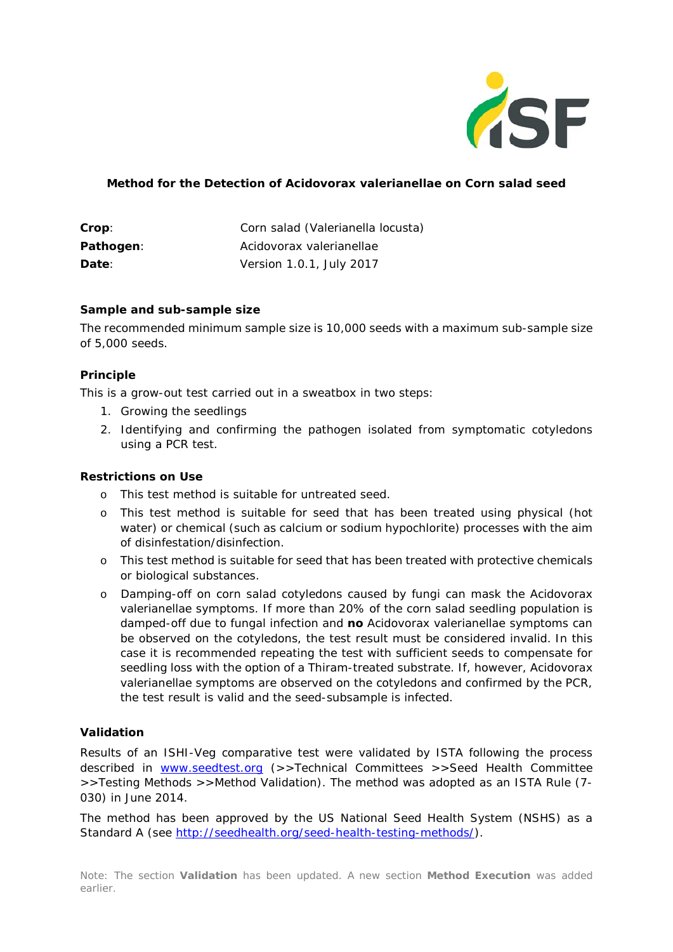

## **Method for the Detection of** *Acidovorax valerianellae* **on Corn salad seed**

| Crop:     | Corn salad (Valerianella locusta) |
|-----------|-----------------------------------|
| Pathogen: | Acidovorax valerianellae          |
| Date:     | Version 1.0.1, July 2017          |

#### **Sample and sub-sample size**

The recommended minimum sample size is 10,000 seeds with a maximum sub-sample size of 5,000 seeds.

### **Principle**

This is a grow-out test carried out in a sweatbox in two steps:

- 1. Growing the seedlings
- 2. Identifying and confirming the pathogen isolated from symptomatic cotyledons using a PCR test.

#### **Restrictions on Use**

- o This test method is suitable for untreated seed.
- o This test method is suitable for seed that has been treated using physical (hot water) or chemical (such as calcium or sodium hypochlorite) processes with the aim of disinfestation/disinfection.
- o This test method is suitable for seed that has been treated with protective chemicals or biological substances.
- o Damping-off on corn salad cotyledons caused by fungi can mask the *Acidovorax valerianellae symptoms*. If more than 20% of the corn salad seedling population is damped-off due to fungal infection and **no** *Acidovorax valerianellae* symptoms can be observed on the cotyledons, the test result must be considered invalid. In this case it is recommended repeating the test with sufficient seeds to compensate for seedling loss with the option of a Thiram-treated substrate. If, however, Aci*dovorax valerianellae* symptoms are observed on the cotyledons and confirmed by the PCR, the test result is valid and the seed-subsample is infected.

# **Validation**

Results of an ISHI-Veg comparative test were validated by ISTA following the process described in [www.seedtest.org](http://www.seedtest.org/) (>>Technical Committees >>Seed Health Committee >>Testing Methods >>Method Validation). The method was adopted as an ISTA Rule (7- 030) in June 2014.

The method has been approved by the US National Seed Health System (NSHS) as a Standard A (see [http://seedhealth.org/seed-health-testing-methods/\)](http://seedhealth.org/seed-health-testing-methods/).

Note: The section **Validation** has been updated. A new section **Method Execution** was added earlier.